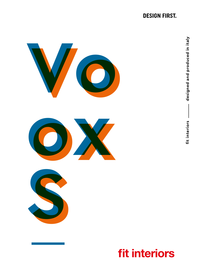## **DESIGN FIRST.**



# **fit interiors**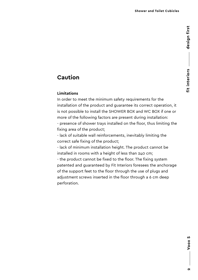## **Caution**

#### **Limitations**

In order to meet the minimum safety requirements for the installation of the product and guarantee its correct operation, it is not possible to install the SHOWER BOX and WC BOX if one or more of the following factors are present during installation: - presence of shower trays installed on the floor, thus limiting the fixing area of the product;

- lack of suitable wall reinforcements, inevitably limiting the correct safe fixing of the product;

- lack of minimum installation height. The product cannot be installed in rooms with a height of less than 240 cm;

- the product cannot be fixed to the floor. The fixing system patented and guaranteed by Fit Interiors foresees the anchorage of the support feet to the floor through the use of plugs and adjustment screws inserted in the floor through a 6 cm deep perforation.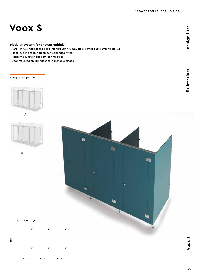## **Voox S**

#### **Modular system for shower cubicle**

- Partition wall fixed to the back wall through AISI 304 steel clamps and clamping screws
- Floor levelling foot, h 10 cm for suspended fixing
- Horizontal junction bar between modules
- Door mounted on AISI 304 steel adjustable hinges.

#### Example compositions









900

90 700 190

面

Ţ

ф

中

Ţ

Voox S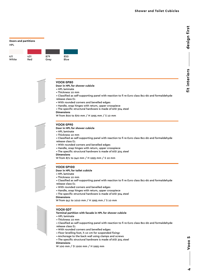#### **Doors and partitions** HPL 850 Blue 431 Red 879 Grey 411 White

#### **VOOX-SP80**

**Door in HPL for shower cubicle**

- HPL laminate
- Thickness 10 mm
- Classified as self-supporting panel with reaction to fi re Euro class Bs1-d0 and formaldehyde
- release class E1
- With rounded corners and bevelled edges
- Handle, snap hinges with return, upper crosspiece
- The specific structural hardware is made of AISI 304 steel **Dimensions**
- W from 800 to 870 mm / H 1995 mm / S 10 mm

#### **VOOX-SP90**

- **Door in HPL for shower cubicle**
- HPL laminate
- Thickness 10 mm
- Classified as self-supporting panel with reaction to fi re Euro class Bs1-d0 and formaldehyde release class E1
- 
- With rounded corners and bevelled edges
- Handle, snap hinges with return, upper crosspiece
- The specific structural hardware is made of AISI 304 steel
- **Dimensions**

W from 871 to 940 mm / H 1995 mm / S 10 mm

#### **VOOX-SP100**

#### **Door in HPL for toilet cubicle**

- HPL laminate
- Thickness 10 mm
- Classified as self-supporting panel with reaction to fi re Euro class Bs1-d0 and formaldehyde release class E1
- With rounded corners and bevelled edges
- Handle, snap hinges with return, upper crosspiece
- The specific structural hardware is made of AISI 304 steel
- **Dimensions**

W from 941 to 1010 mm / H 1995 mm / S 10 mm

#### **VOOX-SDT**

**Terminal partition with facade in HPL for shower cubicle**

- HPL laminate
- Thickness 10 mm
- Classified as self-supporting panel with reaction to fi re Euro class Bs1-d0 and formaldehyde
- release class E1
- With rounded corners and bevelled edges
- Floor levelling foot, h 10 cm for suspended fixing•
- Anchorage to the back wall using clamps and screws
- The specific structural hardware is made of AISI 304 steel
- **Dimensions**

W 100 mm / D 1200 mm / H 1995 mm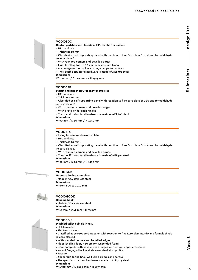# design first **fit interiors design first** fit interiors

- **Central partition with facade in HPL for shower cubicle**
- HPL laminate
- Thickness 10 mm
- Classified as self-supporting panel with reaction to fi re Euro class Bs1-d0 and formaldehyde
- release class E1
- With rounded corners and bevelled edges
- Floor levelling foot, h 10 cm for suspended fixing
- Anchorage to the back wall using clamps and screws
- The specific structural hardware is made of AISI 304 steel
- **Dimensions**

W 190 mm / D 1200 mm / H 1995 mm

#### **VOOX-SFP**

**Starting facade in HPL for shower cubicles**

- HPL laminate
- Thickness 10 mm
- Classified as self-supporting panel with reaction to fi re Euro class Bs1-d0 and formaldehyde
- release class E1
- With rounded corners and bevelled edges
- With provision for snap hinges
- The specific structural hardware is made of AISI 304 steel
- **Dimensions**

W 90 mm / D 10 mm / H 1995 mm

#### **VOOX-SFC**

- **Closing facade for shower cubicle**
- HPL laminate
- Thickness 10 mm
- Classified as self-supporting panel with reaction to fi re Euro class Bs1-d0 and formaldehyde release class E1
- With rounded corners and bevelled edges
- The specific structural hardware is made of AISI 304 steel

**Dimensions**

W 90 mm / D 10 mm / H 1995 mm



**Upper stiffening crosspiece** • Made in 304 stainless steel **Dimensions** W from 800 to 1010 mm



#### **VOOX-HOOK**

**Hanging hook** • Made in 304 stainless steel **Dimensions** W 14 mm / D 42 mm / H 35 mm



#### **VOOX-SDIS**

- **Disabled toilet cubicle in HPL**
- HPL laminate
- Thickness 10 mm
- Classified as self-supporting panel with reaction to fi re Euro class Bs1-d0 and formaldehyde
- release class E1
- With rounded corners and bevelled edges
- Floor levelling foot, h 10 cm for suspended fixing
- Door complete with handle, snap hinges with return, upper crosspiece
- Vacant/engaged lock and stainless steel stop profile
- Facade
- Anchorage to the back wall using clamps and screws
- The specific structural hardware is made of AISI 304 steel
- **Dimensions**
- W 1500 mm / D 1500 mm / H 1995 mm

Voox